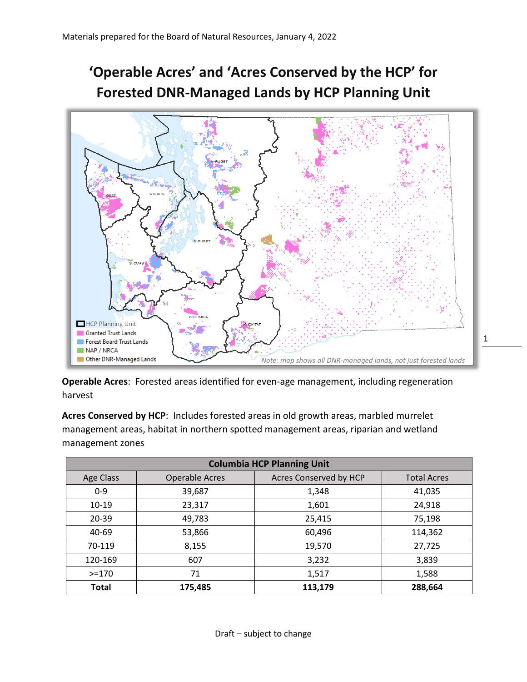## **'Operable Acres' and 'Acres Conserved by the HCP' for Forested DNR-Managed Lands by HCP Planning Unit**



**Operable Acres**: Forested areas identified for even-age management, including regeneration harvest

**Acres Conserved by HCP**: Includes forested areas in old growth areas, marbled murrelet management areas, habitat in northern spotted management areas, riparian and wetland management zones

| <b>Columbia HCP Planning Unit</b> |                       |                        |                    |
|-----------------------------------|-----------------------|------------------------|--------------------|
| Age Class                         | <b>Operable Acres</b> | Acres Conserved by HCP | <b>Total Acres</b> |
| $0 - 9$                           | 39,687                | 1,348                  | 41,035             |
| $10 - 19$                         | 23,317                | 1,601                  | 24,918             |
| 20-39                             | 49,783                | 25,415                 | 75,198             |
| 40-69                             | 53,866                | 60,496                 | 114,362            |
| 70-119                            | 8,155                 | 19,570                 | 27,725             |
| 120-169                           | 607                   | 3,232                  | 3,839              |
| $>=170$                           | 71                    | 1,517                  | 1,588              |
| <b>Total</b>                      | 175,485               | 113,179                | 288,664            |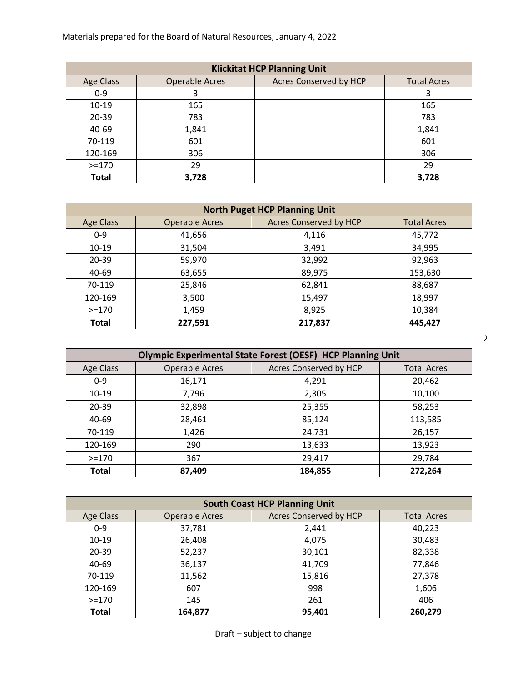Materials prepared for the Board of Natural Resources, January 4, 2022

| <b>Klickitat HCP Planning Unit</b> |                       |                               |                    |
|------------------------------------|-----------------------|-------------------------------|--------------------|
| <b>Age Class</b>                   | <b>Operable Acres</b> | <b>Acres Conserved by HCP</b> | <b>Total Acres</b> |
| $0 - 9$                            |                       |                               | 3                  |
| $10 - 19$                          | 165                   |                               | 165                |
| 20-39                              | 783                   |                               | 783                |
| 40-69                              | 1,841                 |                               | 1,841              |
| 70-119                             | 601                   |                               | 601                |
| 120-169                            | 306                   |                               | 306                |
| $>=170$                            | 29                    |                               | 29                 |
| <b>Total</b>                       | 3,728                 |                               | 3,728              |

| <b>North Puget HCP Planning Unit</b> |                       |                               |                    |
|--------------------------------------|-----------------------|-------------------------------|--------------------|
| <b>Age Class</b>                     | <b>Operable Acres</b> | <b>Acres Conserved by HCP</b> | <b>Total Acres</b> |
| $0 - 9$                              | 41,656                | 4,116                         | 45,772             |
| $10 - 19$                            | 31,504                | 3,491                         | 34,995             |
| $20 - 39$                            | 59,970                | 32,992                        | 92,963             |
| 40-69                                | 63,655                | 89,975                        | 153,630            |
| 70-119                               | 25,846                | 62,841                        | 88,687             |
| 120-169                              | 3,500                 | 15,497                        | 18,997             |
| $>=170$                              | 1,459                 | 8,925                         | 10,384             |
| <b>Total</b>                         | 227,591               | 217,837                       | 445,427            |

| <b>Olympic Experimental State Forest (OESF) HCP Planning Unit</b> |                       |                        |                    |
|-------------------------------------------------------------------|-----------------------|------------------------|--------------------|
| <b>Age Class</b>                                                  | <b>Operable Acres</b> | Acres Conserved by HCP | <b>Total Acres</b> |
| $0 - 9$                                                           | 16,171                | 4,291                  | 20,462             |
| $10 - 19$                                                         | 7,796                 | 2,305                  | 10,100             |
| 20-39                                                             | 32,898                | 25,355                 | 58,253             |
| 40-69                                                             | 28,461                | 85,124                 | 113,585            |
| 70-119                                                            | 1,426                 | 24,731                 | 26,157             |
| 120-169                                                           | 290                   | 13,633                 | 13,923             |
| $> = 170$                                                         | 367                   | 29,417                 | 29,784             |
| <b>Total</b>                                                      | 87,409                | 184,855                | 272,264            |

| <b>South Coast HCP Planning Unit</b> |                       |                        |                    |
|--------------------------------------|-----------------------|------------------------|--------------------|
| <b>Age Class</b>                     | <b>Operable Acres</b> | Acres Conserved by HCP | <b>Total Acres</b> |
| $0 - 9$                              | 37,781                | 2,441                  | 40,223             |
| $10 - 19$                            | 26,408                | 4,075                  | 30,483             |
| 20-39                                | 52,237                | 30,101                 | 82,338             |
| 40-69                                | 36,137                | 41,709                 | 77,846             |
| 70-119                               | 11,562                | 15,816                 | 27,378             |
| 120-169                              | 607                   | 998                    | 1,606              |
| $>=170$                              | 145                   | 261                    | 406                |
| <b>Total</b>                         | 164,877               | 95,401                 | 260,279            |